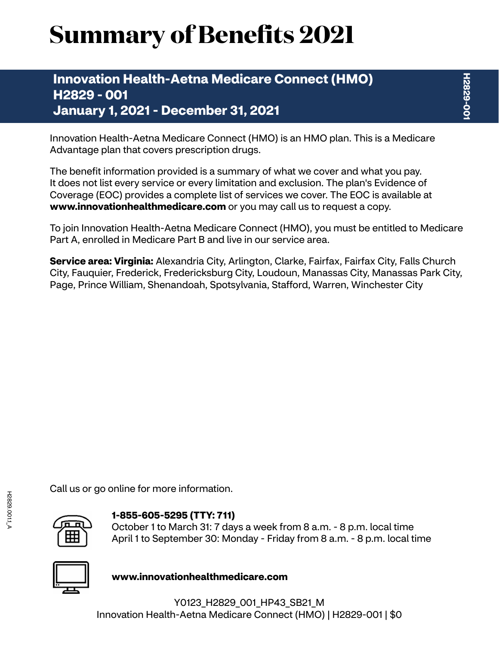# **Summary of Benefits 2021**

# **Innovation Health-Aetna Medicare Connect (HMO) H2829 - 001 January 1, 2021 - December 31, 2021**

Innovation Health-Aetna Medicare Connect (HMO) is an HMO plan. This is a Medicare Advantage plan that covers prescription drugs.

The benefit information provided is a summary of what we cover and what you pay. It does not list every service or every limitation and exclusion. The plan's Evidence of Coverage (EOC) provides a complete list of services we cover. The EOC is available at **<www.innovationhealthmedicare.com>** or you may call us to request a copy.

To join Innovation Health-Aetna Medicare Connect (HMO), you must be entitled to Medicare Part A, enrolled in Medicare Part B and live in our service area.

**Service area: Virginia:** Alexandria City, Arlington, Clarke, Fairfax, Fairfax City, Falls Church City, Fauquier, Frederick, Fredericksburg City, Loudoun, Manassas City, Manassas Park City, Page, Prince William, Shenandoah, Spotsylvania, Stafford, Warren, Winchester City

Call us or go online for more information.



### **1-855-605-5295 (TTY: 711)**

October 1 to March 31: 7 days a week from 8 a.m. - 8 p.m. local time April 1 to September 30: Monday - Friday from 8 a.m. - 8 p.m. local time



**<www.innovationhealthmedicare.com>**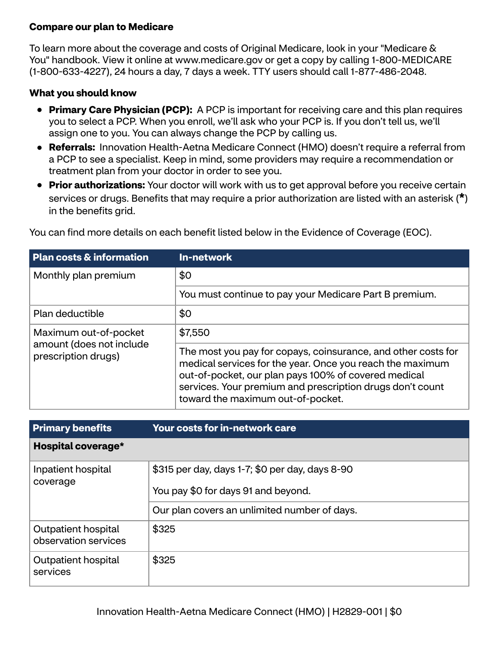## **Compare our plan to Medicare**

To learn more about the coverage and costs of Original Medicare, look in your "Medicare & You" handbook. View it online at<www.medicare.gov>or get a copy by calling 1-800-MEDICARE (1-800-633-4227), 24 hours a day, 7 days a week. TTY users should call 1-877-486-2048.

#### **What you should know**

- **Primary Care Physician (PCP):** A PCP is important for receiving care and this plan requires you to select a PCP. When you enroll, we'll ask who your PCP is. If you don't tell us, we'll assign one to you. You can always change the PCP by calling us.
- **Referrals:** Innovation Health-Aetna Medicare Connect (HMO) doesn't require a referral from a PCP to see a specialist. Keep in mind, some providers may require a recommendation or treatment plan from your doctor in order to see you.
- **Prior authorizations:** Your doctor will work with us to get approval before you receive certain services or drugs. Benefits that may require a prior authorization are listed with an asterisk (**\***) in the benefits grid.

| <b>Plan costs &amp; information</b>             | <b>In-network</b>                                                                                                                                                                                                                                                                    |
|-------------------------------------------------|--------------------------------------------------------------------------------------------------------------------------------------------------------------------------------------------------------------------------------------------------------------------------------------|
| Monthly plan premium                            | \$0                                                                                                                                                                                                                                                                                  |
|                                                 | You must continue to pay your Medicare Part B premium.                                                                                                                                                                                                                               |
| Plan deductible                                 | \$0                                                                                                                                                                                                                                                                                  |
| Maximum out-of-pocket                           | \$7,550                                                                                                                                                                                                                                                                              |
| amount (does not include<br>prescription drugs) | The most you pay for copays, coinsurance, and other costs for<br>medical services for the year. Once you reach the maximum<br>out-of-pocket, our plan pays 100% of covered medical<br>services. Your premium and prescription drugs don't count<br>toward the maximum out-of-pocket. |

You can find more details on each benefit listed below in the Evidence of Coverage (EOC).

| <b>Primary benefits</b>                     | <b>Your costs for in-network care</b>                                                  |
|---------------------------------------------|----------------------------------------------------------------------------------------|
| Hospital coverage*                          |                                                                                        |
| Inpatient hospital<br>coverage              | \$315 per day, days 1-7; \$0 per day, days 8-90<br>You pay \$0 for days 91 and beyond. |
|                                             | Our plan covers an unlimited number of days.                                           |
| Outpatient hospital<br>observation services | \$325                                                                                  |
| Outpatient hospital<br>services             | \$325                                                                                  |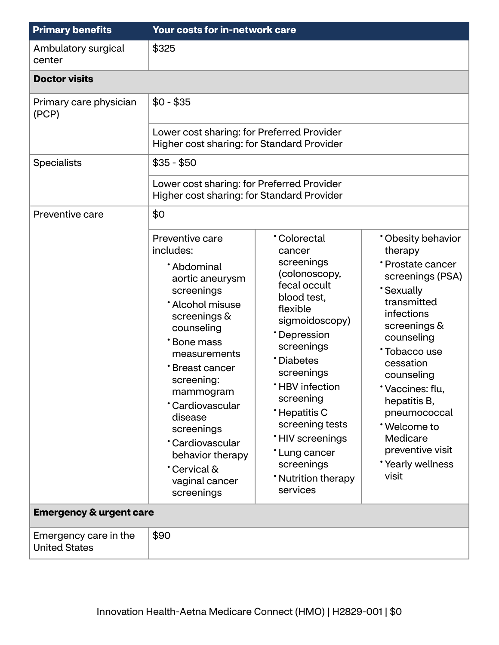| <b>Primary benefits</b>                       | <b>Your costs for in-network care</b>                                                                                                                                                                                                                                                                                                     |                                                                                                                                                                                                                                                                                                                                              |                                                                                                                                                                                                                                                                                                                              |
|-----------------------------------------------|-------------------------------------------------------------------------------------------------------------------------------------------------------------------------------------------------------------------------------------------------------------------------------------------------------------------------------------------|----------------------------------------------------------------------------------------------------------------------------------------------------------------------------------------------------------------------------------------------------------------------------------------------------------------------------------------------|------------------------------------------------------------------------------------------------------------------------------------------------------------------------------------------------------------------------------------------------------------------------------------------------------------------------------|
| Ambulatory surgical<br>center                 | \$325                                                                                                                                                                                                                                                                                                                                     |                                                                                                                                                                                                                                                                                                                                              |                                                                                                                                                                                                                                                                                                                              |
| <b>Doctor visits</b>                          |                                                                                                                                                                                                                                                                                                                                           |                                                                                                                                                                                                                                                                                                                                              |                                                                                                                                                                                                                                                                                                                              |
| Primary care physician<br>(PCP)               | $$0 - $35$                                                                                                                                                                                                                                                                                                                                |                                                                                                                                                                                                                                                                                                                                              |                                                                                                                                                                                                                                                                                                                              |
|                                               | Lower cost sharing: for Preferred Provider<br>Higher cost sharing: for Standard Provider                                                                                                                                                                                                                                                  |                                                                                                                                                                                                                                                                                                                                              |                                                                                                                                                                                                                                                                                                                              |
| <b>Specialists</b>                            | $$35 - $50$                                                                                                                                                                                                                                                                                                                               |                                                                                                                                                                                                                                                                                                                                              |                                                                                                                                                                                                                                                                                                                              |
|                                               | Lower cost sharing: for Preferred Provider<br>Higher cost sharing: for Standard Provider                                                                                                                                                                                                                                                  |                                                                                                                                                                                                                                                                                                                                              |                                                                                                                                                                                                                                                                                                                              |
| Preventive care                               | \$0                                                                                                                                                                                                                                                                                                                                       |                                                                                                                                                                                                                                                                                                                                              |                                                                                                                                                                                                                                                                                                                              |
|                                               | Preventive care<br>includes:<br>*Abdominal<br>aortic aneurysm<br>screenings<br>* Alcohol misuse<br>screenings &<br>counseling<br>*Bone mass<br>measurements<br>*Breast cancer<br>screening:<br>mammogram<br>*Cardiovascular<br>disease<br>screenings<br>*Cardiovascular<br>behavior therapy<br>Cervical &<br>vaginal cancer<br>screenings | <b>Colorectal</b><br>cancer<br>screenings<br>(colonoscopy,<br>fecal occult<br>blood test,<br>flexible<br>sigmoidoscopy)<br>*Depression<br>screenings<br>*Diabetes<br>screenings<br><b>*HBV</b> infection<br>screening<br>*Hepatitis C<br>screening tests<br>*HIV screenings<br>*Lung cancer<br>screenings<br>* Nutrition therapy<br>services | * Obesity behavior<br>therapy<br>*Prostate cancer<br>screenings (PSA)<br><b>Sexually</b><br>transmitted<br>infections<br>screenings &<br>counseling<br>*Tobacco use<br>cessation<br>counseling<br>Vaccines: flu,<br>hepatitis B,<br>pneumococcal<br>*Welcome to<br>Medicare<br>preventive visit<br>*Yearly wellness<br>visit |
| <b>Emergency &amp; urgent care</b>            |                                                                                                                                                                                                                                                                                                                                           |                                                                                                                                                                                                                                                                                                                                              |                                                                                                                                                                                                                                                                                                                              |
| Emergency care in the<br><b>United States</b> | \$90                                                                                                                                                                                                                                                                                                                                      |                                                                                                                                                                                                                                                                                                                                              |                                                                                                                                                                                                                                                                                                                              |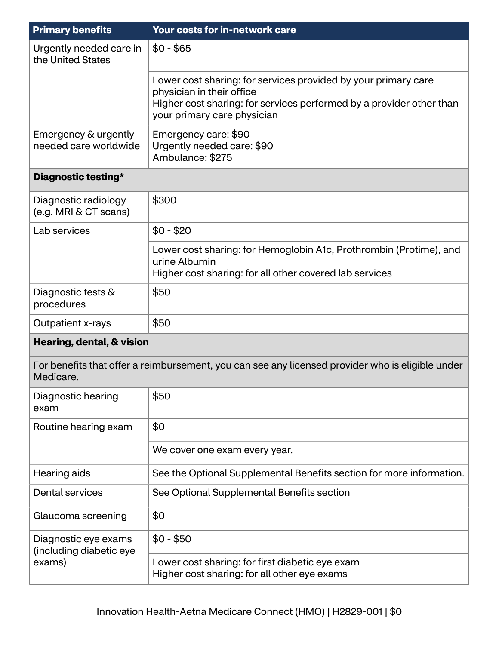| <b>Primary benefits</b>                                   | <b>Your costs for in-network care</b>                                                                                                                                                              |  |
|-----------------------------------------------------------|----------------------------------------------------------------------------------------------------------------------------------------------------------------------------------------------------|--|
| Urgently needed care in<br>the United States              | $$0 - $65$                                                                                                                                                                                         |  |
|                                                           | Lower cost sharing: for services provided by your primary care<br>physician in their office<br>Higher cost sharing: for services performed by a provider other than<br>your primary care physician |  |
| Emergency & urgently<br>needed care worldwide             | Emergency care: \$90<br>Urgently needed care: \$90<br>Ambulance: \$275                                                                                                                             |  |
| Diagnostic testing*                                       |                                                                                                                                                                                                    |  |
| Diagnostic radiology<br>(e.g. MRI & CT scans)             | \$300                                                                                                                                                                                              |  |
| Lab services                                              | $$0 - $20$                                                                                                                                                                                         |  |
|                                                           | Lower cost sharing: for Hemoglobin A1c, Prothrombin (Protime), and<br>urine Albumin<br>Higher cost sharing: for all other covered lab services                                                     |  |
| Diagnostic tests &<br>procedures                          | \$50                                                                                                                                                                                               |  |
| Outpatient x-rays                                         | \$50                                                                                                                                                                                               |  |
| Hearing, dental, & vision                                 |                                                                                                                                                                                                    |  |
| Medicare.                                                 | For benefits that offer a reimbursement, you can see any licensed provider who is eligible under                                                                                                   |  |
| Diagnostic hearing<br>exam                                | \$50                                                                                                                                                                                               |  |
| Routine hearing exam                                      | \$0                                                                                                                                                                                                |  |
|                                                           | We cover one exam every year.                                                                                                                                                                      |  |
| Hearing aids                                              | See the Optional Supplemental Benefits section for more information.                                                                                                                               |  |
| <b>Dental services</b>                                    | See Optional Supplemental Benefits section                                                                                                                                                         |  |
| Glaucoma screening                                        | \$0                                                                                                                                                                                                |  |
| Diagnostic eye exams<br>(including diabetic eye<br>exams) | $$0 - $50$                                                                                                                                                                                         |  |
|                                                           | Lower cost sharing: for first diabetic eye exam<br>Higher cost sharing: for all other eye exams                                                                                                    |  |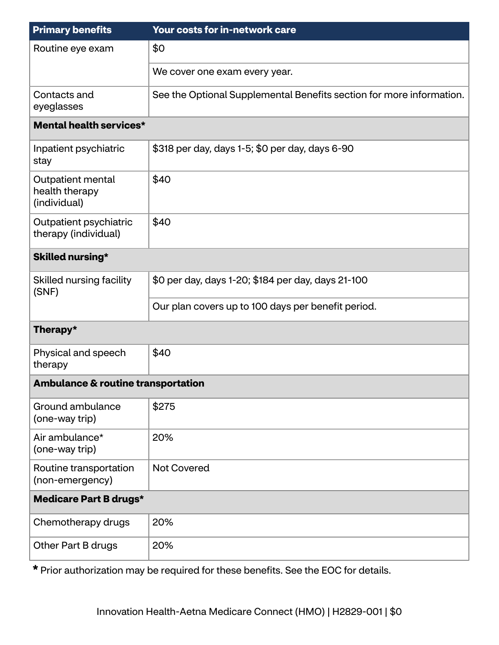| <b>Primary benefits</b>                             | Your costs for in-network care                                       |  |
|-----------------------------------------------------|----------------------------------------------------------------------|--|
| Routine eye exam                                    | \$0                                                                  |  |
|                                                     | We cover one exam every year.                                        |  |
| Contacts and<br>eyeglasses                          | See the Optional Supplemental Benefits section for more information. |  |
| Mental health services*                             |                                                                      |  |
| Inpatient psychiatric<br>stay                       | \$318 per day, days 1-5; \$0 per day, days 6-90                      |  |
| Outpatient mental<br>health therapy<br>(individual) | \$40                                                                 |  |
| Outpatient psychiatric<br>therapy (individual)      | \$40                                                                 |  |
| <b>Skilled nursing*</b>                             |                                                                      |  |
| Skilled nursing facility<br>(SNF)                   | \$0 per day, days 1-20; \$184 per day, days 21-100                   |  |
|                                                     | Our plan covers up to 100 days per benefit period.                   |  |
| Therapy*                                            |                                                                      |  |
| Physical and speech<br>therapy                      | \$40                                                                 |  |
| <b>Ambulance &amp; routine transportation</b>       |                                                                      |  |
| Ground ambulance<br>(one-way trip)                  | \$275                                                                |  |
| Air ambulance*<br>(one-way trip)                    | 20%                                                                  |  |
| Routine transportation<br>(non-emergency)           | <b>Not Covered</b>                                                   |  |
| <b>Medicare Part B drugs*</b>                       |                                                                      |  |
| Chemotherapy drugs                                  | 20%                                                                  |  |
| Other Part B drugs                                  | 20%                                                                  |  |

**\*** Prior authorization may be required for these benefits. See the EOC for details.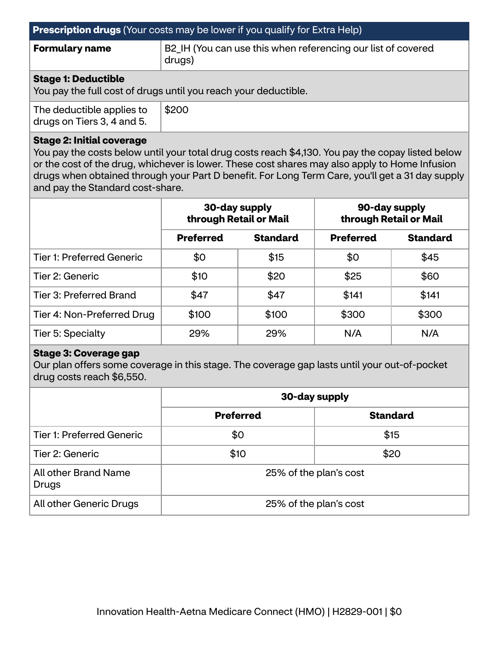| <b>Prescription drugs</b> (Your costs may be lower if you qualify for Extra Help)             |                                                                        |  |
|-----------------------------------------------------------------------------------------------|------------------------------------------------------------------------|--|
| <b>Formulary name</b>                                                                         | B2_IH (You can use this when referencing our list of covered<br>drugs) |  |
| <b>Stage 1: Deductible</b><br>You pay the full cost of drugs until you reach your deductible. |                                                                        |  |
| The deductible applies to<br>drugs on Tiers 3, 4 and 5.                                       | \$200                                                                  |  |

#### **Stage 2: Initial coverage**

You pay the costs below until your total drug costs reach \$4,130. You pay the copay listed below or the cost of the drug, whichever is lower. These cost shares may also apply to Home Infusion drugs when obtained through your Part D benefit. For Long Term Care, you'll get a 31 day supply and pay the Standard cost-share.

|                                  | 30-day supply<br>through Retail or Mail |                 | 90-day supply<br>through Retail or Mail |                 |
|----------------------------------|-----------------------------------------|-----------------|-----------------------------------------|-----------------|
|                                  | <b>Preferred</b>                        | <b>Standard</b> | <b>Preferred</b>                        | <b>Standard</b> |
| <b>Tier 1: Preferred Generic</b> | \$0                                     | \$15            | \$0                                     | \$45            |
| Tier 2: Generic                  | \$10                                    | \$20            | \$25                                    | \$60            |
| Tier 3: Preferred Brand          | \$47                                    | \$47            | \$141                                   | \$141           |
| Tier 4: Non-Preferred Drug       | \$100                                   | \$100           | \$300                                   | \$300           |
| Tier 5: Specialty                | 29%                                     | 29%             | N/A                                     | N/A             |

#### **Stage 3: Coverage gap**

Our plan offers some coverage in this stage. The coverage gap lasts until your out-of-pocket drug costs reach \$6,550.

|                                  | 30-day supply                       |      |
|----------------------------------|-------------------------------------|------|
|                                  | <b>Preferred</b><br><b>Standard</b> |      |
| <b>Tier 1: Preferred Generic</b> | \$0                                 | \$15 |
| Tier 2: Generic                  | \$10                                | \$20 |
| All other Brand Name<br>Drugs    | 25% of the plan's cost              |      |
| All other Generic Drugs          | 25% of the plan's cost              |      |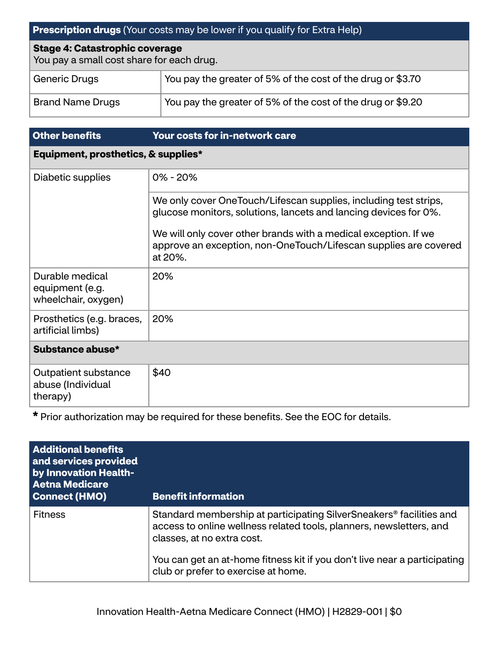# **Prescription drugs** (Your costs may be lower if you qualify for Extra Help)

#### **Stage 4: Catastrophic coverage**

You pay a small cost share for each drug.

| Generic Drugs           | You pay the greater of 5% of the cost of the drug or \$3.70                       |
|-------------------------|-----------------------------------------------------------------------------------|
| <b>Brand Name Drugs</b> | $^\dagger$ You pay the greater of 5% of the cost of the drug or \$9.20 $^\dagger$ |

| <b>Other benefits</b>                                     | <b>Your costs for in-network care</b>                                                                                                          |  |
|-----------------------------------------------------------|------------------------------------------------------------------------------------------------------------------------------------------------|--|
| Equipment, prosthetics, & supplies*                       |                                                                                                                                                |  |
| Diabetic supplies                                         | $0\% - 20\%$                                                                                                                                   |  |
|                                                           | We only cover OneTouch/Lifescan supplies, including test strips,<br>glucose monitors, solutions, lancets and lancing devices for 0%.           |  |
|                                                           | We will only cover other brands with a medical exception. If we<br>approve an exception, non-OneTouch/Lifescan supplies are covered<br>at 20%. |  |
| Durable medical<br>equipment (e.g.<br>wheelchair, oxygen) | 20%                                                                                                                                            |  |
| Prosthetics (e.g. braces,<br>artificial limbs)            | 20%                                                                                                                                            |  |
| Substance abuse*                                          |                                                                                                                                                |  |
| Outpatient substance<br>abuse (Individual<br>therapy)     | \$40                                                                                                                                           |  |

**\*** Prior authorization may be required for these benefits. See the EOC for details.

| <b>Additional benefits</b><br>and services provided<br>by Innovation Health-<br><b>Aetna Medicare</b><br><b>Connect (HMO)</b> | <b>Benefit information</b>                                                                                                                                                           |
|-------------------------------------------------------------------------------------------------------------------------------|--------------------------------------------------------------------------------------------------------------------------------------------------------------------------------------|
| <b>Fitness</b>                                                                                                                | Standard membership at participating SilverSneakers <sup>®</sup> facilities and<br>access to online wellness related tools, planners, newsletters, and<br>classes, at no extra cost. |
|                                                                                                                               | You can get an at-home fitness kit if you don't live near a participating<br>club or prefer to exercise at home.                                                                     |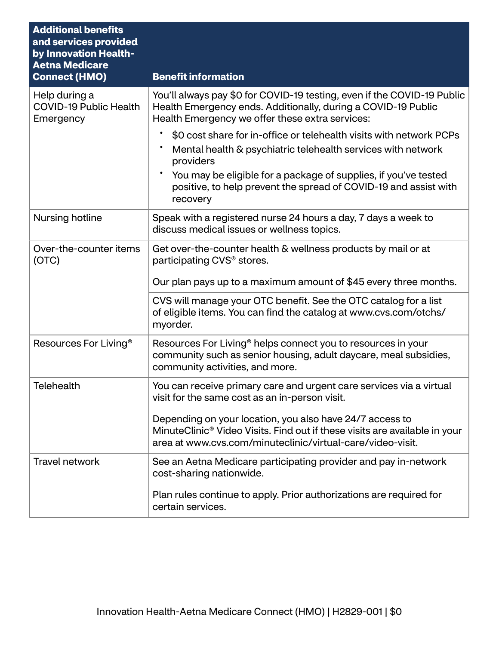| <b>Additional benefits</b><br>and services provided<br>by Innovation Health-<br><b>Aetna Medicare</b> |                                                                                                                                                                                                                  |
|-------------------------------------------------------------------------------------------------------|------------------------------------------------------------------------------------------------------------------------------------------------------------------------------------------------------------------|
| <b>Connect (HMO)</b>                                                                                  | <b>Benefit information</b>                                                                                                                                                                                       |
| Help during a<br><b>COVID-19 Public Health</b><br>Emergency                                           | You'll always pay \$0 for COVID-19 testing, even if the COVID-19 Public<br>Health Emergency ends. Additionally, during a COVID-19 Public<br>Health Emergency we offer these extra services:                      |
|                                                                                                       | \$0 cost share for in-office or telehealth visits with network PCPs<br>Mental health & psychiatric telehealth services with network<br>providers                                                                 |
|                                                                                                       | You may be eligible for a package of supplies, if you've tested<br>positive, to help prevent the spread of COVID-19 and assist with<br>recovery                                                                  |
| Nursing hotline                                                                                       | Speak with a registered nurse 24 hours a day, 7 days a week to<br>discuss medical issues or wellness topics.                                                                                                     |
| Over-the-counter items<br>(OTC)                                                                       | Get over-the-counter health & wellness products by mail or at<br>participating CVS <sup>®</sup> stores.                                                                                                          |
|                                                                                                       | Our plan pays up to a maximum amount of \$45 every three months.                                                                                                                                                 |
|                                                                                                       | CVS will manage your OTC benefit. See the OTC catalog for a list<br>of eligible items. You can find the catalog at www.cvs.com/otchs/<br>myorder.                                                                |
| Resources For Living <sup>®</sup>                                                                     | Resources For Living <sup>®</sup> helps connect you to resources in your<br>community such as senior housing, adult daycare, meal subsidies,<br>community activities, and more.                                  |
| <b>Telehealth</b>                                                                                     | You can receive primary care and urgent care services via a virtual<br>visit for the same cost as an in-person visit.                                                                                            |
|                                                                                                       | Depending on your location, you also have 24/7 access to<br>MinuteClinic <sup>®</sup> Video Visits. Find out if these visits are available in your<br>area at www.cvs.com/minuteclinic/virtual-care/video-visit. |
| <b>Travel network</b>                                                                                 | See an Aetna Medicare participating provider and pay in-network<br>cost-sharing nationwide.                                                                                                                      |
|                                                                                                       | Plan rules continue to apply. Prior authorizations are required for<br>certain services.                                                                                                                         |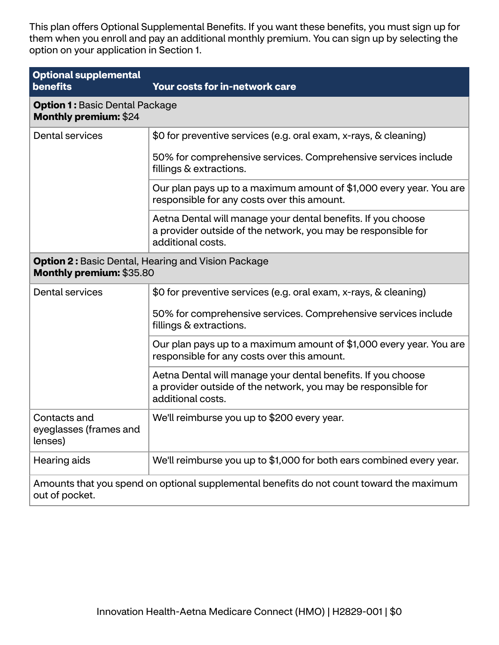This plan offers Optional Supplemental Benefits. If you want these benefits, you must sign up for them when you enroll and pay an additional monthly premium. You can sign up by selecting the option on your application in Section 1.

| <b>Optional supplemental</b><br>benefits                                                                   | Your costs for in-network care                                                                                                                     |
|------------------------------------------------------------------------------------------------------------|----------------------------------------------------------------------------------------------------------------------------------------------------|
| <b>Option 1: Basic Dental Package</b><br><b>Monthly premium: \$24</b>                                      |                                                                                                                                                    |
| <b>Dental services</b>                                                                                     | \$0 for preventive services (e.g. oral exam, x-rays, & cleaning)                                                                                   |
|                                                                                                            | 50% for comprehensive services. Comprehensive services include<br>fillings & extractions.                                                          |
|                                                                                                            | Our plan pays up to a maximum amount of \$1,000 every year. You are<br>responsible for any costs over this amount.                                 |
|                                                                                                            | Aetna Dental will manage your dental benefits. If you choose<br>a provider outside of the network, you may be responsible for<br>additional costs. |
| <b>Option 2: Basic Dental, Hearing and Vision Package</b><br>Monthly premium: \$35.80                      |                                                                                                                                                    |
| <b>Dental services</b>                                                                                     | \$0 for preventive services (e.g. oral exam, x-rays, & cleaning)                                                                                   |
|                                                                                                            | 50% for comprehensive services. Comprehensive services include<br>fillings & extractions.                                                          |
|                                                                                                            | Our plan pays up to a maximum amount of \$1,000 every year. You are<br>responsible for any costs over this amount.                                 |
|                                                                                                            | Aetna Dental will manage your dental benefits. If you choose<br>a provider outside of the network, you may be responsible for<br>additional costs. |
| Contacts and<br>eyeglasses (frames and<br>lenses)                                                          | We'll reimburse you up to \$200 every year.                                                                                                        |
| Hearing aids                                                                                               | We'll reimburse you up to \$1,000 for both ears combined every year.                                                                               |
| Amounts that you spend on optional supplemental benefits do not count toward the maximum<br>out of pocket. |                                                                                                                                                    |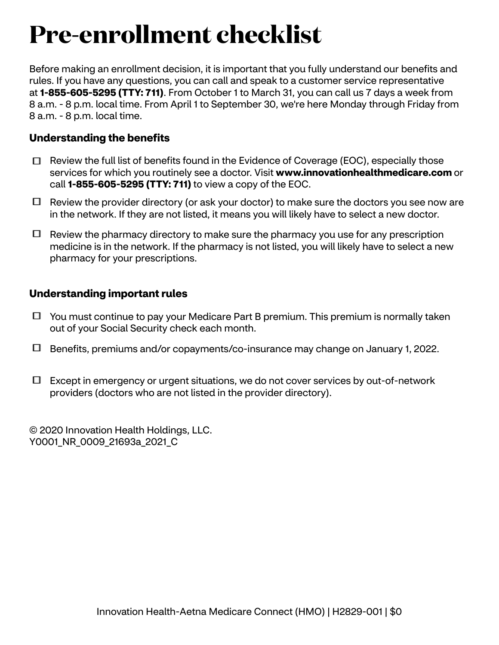# **Pre-enrollment checklist**

Before making an enrollment decision, it is important that you fully understand our benefits and rules. If you have any questions, you can call and speak to a customer service representative at **1-855-605-5295 (TTY: 711)**. From October 1 to March 31, you can call us 7 days a week from 8 a.m. - 8 p.m. local time. From April 1 to September 30, we're here Monday through Friday from 8 a.m. - 8 p.m. local time.

# **Understanding the benefits**

- $\Box$  Review the full list of benefits found in the Evidence of Coverage (EOC), especially those services for which you routinely see a doctor. Visit **<www.innovationhealthmedicare.com>** or call **1-855-605-5295 (TTY: 711)** to view a copy of the EOC.
- $\Box$  Review the provider directory (or ask your doctor) to make sure the doctors you see now are in the network. If they are not listed, it means you will likely have to select a new doctor.
- $\Box$  Review the pharmacy directory to make sure the pharmacy you use for any prescription medicine is in the network. If the pharmacy is not listed, you will likely have to select a new pharmacy for your prescriptions.

## **Understanding important rules**

- $\Box$  You must continue to pay your Medicare Part B premium. This premium is normally taken out of your Social Security check each month.
- Benefits, premiums and/or copayments/co-insurance may change on January 1, 2022.
- $\Box$  Except in emergency or urgent situations, we do not cover services by out-of-network providers (doctors who are not listed in the provider directory).

© 2020 Innovation Health Holdings, LLC. Y0001 NR 0009 21693a 2021 C